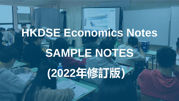# **HKDSE Economics Notes SAMPLE NOTES**

**(2022年修訂版)**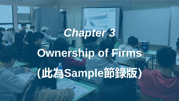# *Chapter 3*

**Ownership of Firms (此為Sample節錄版)**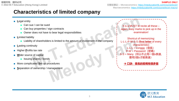完整版筆記 – Microeconomics: <https://mteducationhk.com/course/econ/> Macroeconomics:<https://mteducationhk.com/course/econ-macro/>

## **Characteristics of limited company**

■ **Legal entity** Can sue / can be sued Can buy properties / sign contracts Owner does not have to bear legal responsibilities ■ **Limited liability** Liability of shareholders is limited to the amount of investment in the company ■ **Lasting continuity** ■ Higher **Profits tax rate Wider source of capital** Issuing shares / bonds ■ More complicated Set-up procedures ■ **Separation of ownership / management** It is a MUST to recite all these – again, easy marks to pick up in the examination! Shortcut of memorizing: L-L-L-P-W-S-S (**first letter** of every characteristic) L-L-L = Longgg (很長) P-W = Password (密碼) S-S = Many(所以不止用一個s表達, 要用2個s才能表達) **→ 口訣: 很長的密碼有很多個** 

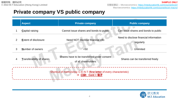## **Private company VS public company**

| <b>Aspect</b> |                                                                                           | <b>Private company</b>                                             | <b>Public company</b>                               |  |  |  |
|---------------|-------------------------------------------------------------------------------------------|--------------------------------------------------------------------|-----------------------------------------------------|--|--|--|
|               |                                                                                           |                                                                    |                                                     |  |  |  |
|               | <b>Capital raising</b>                                                                    | Cannot issue shares and bonds to public                            | Can issue shares and bonds to public                |  |  |  |
| 2             | <b>Extent of disclosure</b>                                                               | Need NOT disclose financial info                                   | Need to disclose financial information<br>regularly |  |  |  |
| 3             | <b>Number of owners</b>                                                                   | < 50                                                               | Unlimited                                           |  |  |  |
| 4             | <b>Transferability of shares</b>                                                          | Shares have to be transferred under consent<br>of all shareholders | Shares can be transferred freely                    |  |  |  |
|               | Shortcut of memorizing: C-E-N-T (first letter of every characteristic)<br>→ 口訣: Cent = 毫子 |                                                                    |                                                     |  |  |  |

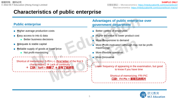Macroeconomics:<https://mteducationhk.com/course/econ-macro/>

## **Characteristics of public enterprise**

#### **Public enterprise**

- **Higher average production costs**
- **Easy access to into & data** 
	- **Better business decisions**
- **A**dequate & stable capital
- **Reliable supply of goods at lower price** 
	- Not profit-maximizing

Shortcut of memorizing: S-P-I-L-L (**first letter** of the first 5 characteristic)  $\rightarrow$  Lack of continuity → **口訣:Spill = 倒翻了** → **沒有了延續性**

#### **Advantages of public enterprise over government department**

- Better control of employees
- Higher **Incentive to lower product cost**
- More **Responsive to demand**
- **More Profit-motivated (although may not be profit**maximizing)
- More **Flexible operation**
- More **Innovative**

Lower frequency of appearing in the examination, but good to know if you have time

> Shortcut of memorizing: FRI-PIC **口訣:Fri Pic = 星期五的照片**

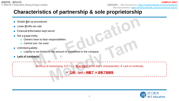完整版筆記 – Microeconomics: <https://mteducationhk.com/course/econ/> Macroeconomics:<https://mteducationhk.com/course/econ-macro/>

## **Characteristics of partnership & sole proprietorship**

- Simple Set-up procedures
- Lower **Profits tax rate**
- **Financial Information kept secret**
- Not a **Legal entity:** 
	- Owners have to bear responsibilities
	- Cannot sue / be sued
- Unlimited **Liability** 
	- Liability is not limited to the amount of investment in the company
- Lack of continuity

Shortcut of memorizing: S-P-I-L-L (**first letter** of the first 5 characteristic) → Lack of continuity

→ **口訣:Spill = 倒翻了** → **沒有了延續性**

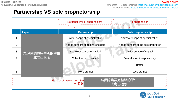完整版筆記 – Microeconomics: <https://mteducationhk.com/course/econ/> Macroeconomics:<https://mteducationhk.com/course/econ-macro/>

## **Partnership VS sole proprietorship**

|                |                                                                                   | No upper limit of shareholders           | 1 shareholder                        |  |  |  |
|----------------|-----------------------------------------------------------------------------------|------------------------------------------|--------------------------------------|--|--|--|
|                | <b>Aspect</b>                                                                     | <b>Partnership</b>                       | Sole proprietorship                  |  |  |  |
|                |                                                                                   | Wider scope of specialization            | Narrower scope of specialization     |  |  |  |
| $\overline{2}$ |                                                                                   | Needs consent of <b>all</b> shareholders | Needs consent of the sole proprietor |  |  |  |
| 3              | 為保障購買完整版的學生                                                                       | Narrower source of capital               | Wider source of capital              |  |  |  |
| 4              | 此處已遮蔽                                                                             | <b>Collective responsibility</b>         | Bear all risks / responsibility      |  |  |  |
| 5              |                                                                                   |                                          | <b>Better</b>                        |  |  |  |
| 6              |                                                                                   | More prompt                              | Less prompt                          |  |  |  |
|                | 為保障購買完整版的學生<br><b>Shortcut of memorizing: S-A</b><br>$\rightarrow$<br>口訣<br>此處已遮蔽 |                                          |                                      |  |  |  |

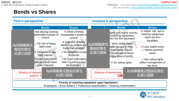## **Bonds vs Shares**

| <b>Firm's perspective</b>  |                                                                   |                                                                               |                 | <b>Investor's perspective</b>                                          |                                                           |                                                                               |                                                                                    |
|----------------------------|-------------------------------------------------------------------|-------------------------------------------------------------------------------|-----------------|------------------------------------------------------------------------|-----------------------------------------------------------|-------------------------------------------------------------------------------|------------------------------------------------------------------------------------|
|                            | <b>Bonds</b>                                                      | <b>Shares</b>                                                                 |                 |                                                                        | <b>Bonds</b>                                              |                                                                               | <b>Shares</b>                                                                      |
|                            | Not diluting existing<br>areholder's power of<br>control          | $\times$ Dilute existing<br>shareholder's power of<br>control                 |                 |                                                                        |                                                           | ower risk: higher priority<br>h claiming repayment<br>hen the firm liquidates | $\times$ Higher risk: last in<br>claiming repayment<br>when the firm<br>liquidates |
| 為保障購買完<br>整版的學生            | $\checkmark$ No risk of being<br>taken over                       | $\times$ High risk of being<br>taken over (shares are<br>freely transferable) | 為保障購買完<br>整版的學生 | / More stable return<br>(interest rate is fixed<br>regardless of loss) | $\times$ Less stable return<br>$\sqrt{}$ Higher potential |                                                                               |                                                                                    |
| 此處已遮蔽                      | X Obligated to pay<br>fixed interest                              | $\checkmark$ No obligation to pay<br>dividends                                |                 | 此處已遮蔽                                                                  | K Fixed rate of return<br>(regardless of profit)          |                                                                               | return                                                                             |
|                            | <b>Fixed redemption</b><br>late (pay face value<br>upon maturity) | $\checkmark$ No fixed redemption<br>date (no need to buy<br>back shares)      |                 | $\times$ No voting rights                                              |                                                           | $\checkmark$ Has voting rights<br>(affect management of<br>the firm)          |                                                                                    |
| <b>Shortcut of memoriz</b> | aspect) $\rightarrow$                                             | 為保障購買完整版的學生<br>此處已遮蔽                                                          |                 | <b>Shortcut of memorizing:</b>                                         | 口訣                                                        |                                                                               | 為保障購買完整版的學生<br>此處已遮蔽                                                               |
|                            |                                                                   |                                                                               |                 |                                                                        |                                                           |                                                                               |                                                                                    |

**Priority of claiming repayment upon liquidation:**

Employees > Bond holders > Preference shareholders > Ordinary shareholders

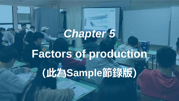# *Chapter 5*

**Factors of production (此為Sample節錄版)**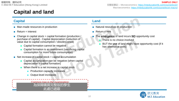## **Capital and land**

#### **Capital Land**

- Man-made resources in production
- $Return = interest$
- Change in capital stock = capital formation (production / purchase of capital) - Capital depreciation (reduction of value due to capital consumption / obsolescence)
	- Capital formation cannot be negative
	- Capital formation is an investment (sacrificing capital consumption for more future consumption)
- $\blacksquare$  Net increase in capital stock = capital accumulation
	- Capital accumulation can be negative (when capital depreciation > capital formation)
	- When there is a net increase in capital stock
		- **Production capacity increases**
		- **Output level increases**

Common trap in the examination: 為保障購買完整版的學生 此處已遮蔽

- Natural resources in production
- $Return = rent$
- The **emergence** of land incurs **NO** opportunity cost
	- There is no choice involved
	- BUT the **use** of land might have opportunity cost (if it has alternative uses)

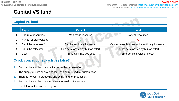Macroeconomics:<https://mteducationhk.com/course/econ-macro/>

## **Capital VS land**

#### **Capital VS land**

|  | <b>Aspect</b>          | <b>Capital</b>                   | Land                                              |
|--|------------------------|----------------------------------|---------------------------------------------------|
|  | Nature of resources    | Man-made resource                | <b>Natural resources</b>                          |
|  | Human effort involved? |                                  |                                                   |
|  | Can it be increased?   | Can be artificially increased    | Can increase but cannot be artificially increased |
|  | Can it be relocated?   | Can be relocated by human effort | Cannot be relocated by human effort               |
|  | Cost                   | Production involves cost         | Emergence involves no cost                        |
|  |                        |                                  |                                                   |

### **Quick concept check – true / false?**

- 1. Both capital and land can be increased by human effort.
- 2. The supply of both capital and land can be reduced by human effort.
- 3. There is no cost in producing and using land for production.
- 4. Both capital and land can increase the wealth of a society.
- 5. Capital formation can be negative.

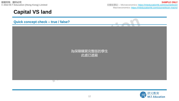**SAMPLE ONLY** 完整版筆記 – Microeconomics: <https://mteducationhk.com/course/econ/> Macroeconomics:<https://mteducationhk.com/course/econ-macro/>



#### **Quick concept check – true / false?**



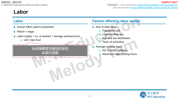### **Labor**

- Human effort used in production
- $\blacksquare$  Return = wage
- **Labor supply = no. of workers**  $*$  **average working hours** 
	- Unit: man-hour

#### 為保障購買完整版的學生  $\frac{1}{100}$  examination  $\frac{1}{100}$  or calculate labor supply  $\frac{1}{100}$  as  $\frac{1}{100}$  . The calculate labor supply  $\frac{1}{100}$  and  $\frac{1}{100}$  and  $\frac{1}{100}$  and  $\frac{1}{100}$  and  $\frac{1}{100}$  and  $\frac{1}{100}$  and  $\frac{1}{1$ you will look <mark>此處已遮蔽</mark> will look to put the unit

#### **Labor Factors affecting labor supply**

- Size of labor force
	- Population size
	- **Legal working age**
	- Age and sex distribution
	- Years of schooling
- Average working hours
	- No. of public holidays
	- Maximum legal working hours

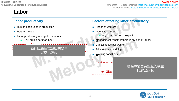### **Labor**

- Human effort used in production
- $\blacksquare$  Return = wage
- **Labor productivity = output / man-hour** 
	- Unit: output per man-hour

#### 為保障購買完整版的學生 此處已遮蔽

#### **Labor productivity Factors affecting labor productivity**

- **Health of workers**
- **I**ncentive to work
	- e g. bonuses, job prospect
- **Management (whether there is division of labor)**
- **C**apital goods per worker
- **E**ducation and training
- **W**orking conditions

#### Shortcut of mer

factor) 為保障購買完整版的學生 → **口訣:Him + easy(EC) + Wut** → **他-容易-屈** 此處已遮蔽

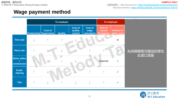## **Wage payment method**



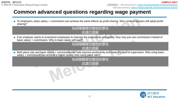## **Common advanced questions regarding wage payment**

- To employers, basic salary + commission can achieve the same effects as profit-sharing. Why some employers still adopt profitsharing?
	- $\mathbb{R}^n$  the employees can share risk with employees  $\mathbb{R}^n$ 為保障購買完整版的學生 此處已遮蔽
- If an employer wants to incentivize employees to improve the productivity and quality, they may just use commission instead of basic salary + commission. Why is basic salary still paid?

■ The basic salary portion could help maintain a stable team of staff 為保障購買完整版的學生 此處已遮蔽

Both piece rate and basic salary + commission can help improve productivity and lower the cost of supervision. Why using basic salary + commission can achieve a higher quality than using piece rate?

■ Basic salary + commission will improve the goods / services provided because the commission given by a servi customers in the customers in the quality of the quality of the quality of the quality of the quality of the q 此處已遮蔽

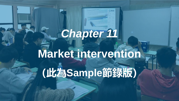# *Chapter 11*

**Market intervention (此為Sample節錄版)**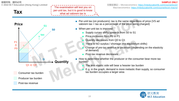**版權所有,翻印必究 © 2022 M.T Education (Hong Kong) Limited**

**Tax**

The examination will test you on per-unit tax, but it is good to know what ad valorem tax is

**Price S1 S0 tax P1** →**+ P0 - D** Quantity  $Q1 \leftarrow Q0$ Consumer tax burden Producer tax burden Post-tax revenue

- Per-unit tax (on producers): tax is the same regardless of price (VS ad valorem tax = tax as a percentage of the price being charged)
- When per-unit tax is imposed:
	- Supply curves shifts upwards from S0 to S1
	- Price increases from P0 to P1
	- Quantity decreases from Q0 to Q1
	- There is NO surplus / shortage (the equilibrium shifts)
	- Change of pre-tax revenue is uncertain (depending on the elasticity of demand)
	- Post-tax revenue decreases
- How to determine whether the producer or the consumer bear more tax burden?
	- The less elastic side will bear a heavier tax burden
	- E.g. in the graph, demand is more inelastic than supply, so consumer tax burden occupies a larger area

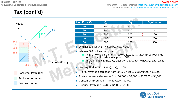## **Tax (cont'd)**



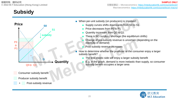## **Subsidy**

- **Price S0 S1 subsidy P0** → **- P1 + D** Quantity **Q0**→ **Q1** Consumer subsidy benefit Producer subsidy benefit Post-subsidy revenue
- When per-unit subsidy (on producers) is imposed:
	- Supply curves shifts downwards from S0 to S1
	- Price decreases from P0 to P1
	- Quantity increases from Q0 to Q1
	- There is NO surplus / shortage (the equilibrium shifts)
	- Change of pre-subsidy revenue is uncertain (depending on the elasticity of demand)
	- Post-subsidy revenue increases
- How to determine whether the producer or the consumer enjoy a larger subsidy benefit?
	- The less elastic side will enjoy a larger subsidy benefit
	- E.g. in the graph, demand is more inelastic than supply, so consumer subsidy benefit occupies a larger area

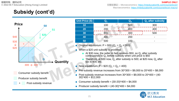## **Subsidy (cont'd)**



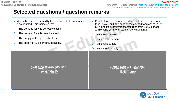- $\blacksquare$  When the tax on commodity X is doubled, its tax revenue is also doubled. This indicates that
- A. The demand for X is perfectly elastic.
- B. The demand for X is unitarily elastic.
- C. The supply of X is perfectly elastic.
- D. The supply of X is perfectly inelastic.
- People tend to consume less live poultry but more canned food. As a result, the price of the canned food changed by 50% and its quantity transacted rose from 1,000 cans to 1,350 cans per month we can conclude it had
- A. an elastic demand
- B. an inelastic demand
- an elastic supply
- D. an inelastic supply

#### 為保障購買完整版的學生 此處已遮蔽

 $A$  answer: D. When the supply is perfectly interacted interactions in the supply interacted interaction  $\mathcal{A}$ 

#### ———為保障購買完整版的學生 1350−1000 x100% 此處已遮蔽1000

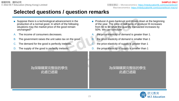- Suppose there is a technological advancement in the production of a normal good. In which of the following situations may the market price of the good remain unchanged?
- The income of consumers decreases.
- B. The government raises the unit sales tax on the good.
- C. The demand for the good is perfectly inelastic.
- The supply of the good is perfectly inelastic.
- Producer A goes bankrupt and closes down at the beginning of the year. The price of ball pens of producer B increases from \$6 to \$8 while the quantity transacted increases by 50%. We can conclude
- A. the price elasticity of demand is greater than 1.
- B. the price elasticity of demand is smaller than 1
- C. the price elasticity of supply is greater than 1
- D. the price elasticity of supply is smaller than 1

#### remains unchanged is the quantity, not the price 為保障購買完整版的學生 ■ Third, for option A, if income of consumers decreases and income of consumers and income of consumers and in supply of a normal good increases, demand decreases, demand decreases, demand decreases. Increases, decreases,

#### ■ C and D are wrong 為保障購買完整版的學生 elasticity = 50% <mark>LL/</mark>凌<br>- 50% = 50% = 50% = 50% = 50% = 50% = 50% = 50% = 50% = 50% = 50% = 50% = 50% = 50% = 50% = 50% = 50% = 50% = 5  $\frac{1}{2}$  - 1.75  $\frac{1}{2}$ 此處已遮蔽

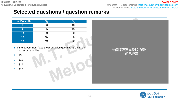完整版筆記 – Microeconomics: <https://mteducationhk.com/course/econ/> Macroeconomics:<https://mteducationhk.com/course/econ-macro/>

**SAMPLE ONLY**

## **Selected questions / question remarks**

| Unit Price (\$) | $\mathbf{Q_{d}}$ | $\mathsf{Q}_{\mathsf{s}}$ |
|-----------------|------------------|---------------------------|
| 6               | 60               | 40                        |
| 9               | 55               | 45                        |
| 12              | 50               | 50                        |
| 15              | 45               | 55                        |
| 18              | 40               | 60                        |

■ If the government fixes the production quota at 45 units, the market price will be

A. \$9

B. \$12

C. \$15

D. \$18



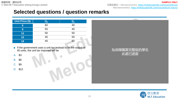完整版筆記 – Microeconomics: <https://mteducationhk.com/course/econ/> Macroeconomics:<https://mteducationhk.com/course/econ-macro/>

**SAMPLE ONLY**

## **Selected questions / question remarks**

| Unit Price (\$)  | $\mathbf{Q}_{\mathbf{d}}$ | $\mathbf{Q}_{_{\mathbf{S}}}$ |
|------------------|---------------------------|------------------------------|
| 6                | 60                        | 40                           |
| $\boldsymbol{9}$ | 55                        | 45                           |
| 12               | 50                        | 50                           |
| 15               | 45                        | 55                           |
| 18               | 40                        | 60                           |

■ If the government uses a unit tax instead to fix the output at 45 units, the unit tax imposed will be

A. \$3

B. \$6

C. \$9

 $D.$  \$12 when the seller only receive  $\mathcal{L}$  when the price is at  $\mathcal{L}$  when the price is at  $\mathcal{L}$ 



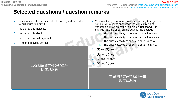- The imposition of a per-unit sales tax on a good will reduce its equilibrium quantity if
- the demand is inelastic.
- B. the demand is elastic.
- the demand is unitarily elastic.
- D. All of the above is correct.

#### **A B C** 為保障購買完整版的學生 此處已遮蔽

- Suppose the government provides a subsidy to vegetable suppliers in order to encourage the consumption of vegetables. In which of the following situations will the subsidy have no effect on the quantity transacted?
	- The price elasticity of demand is equal to zero.
	- The price elasticity of demand is equal to infinity.
	- The price elasticity of supply is equal to zero.
	- The price elasticity of supply is equal to infinity.
- A. (1) and (2) only
- B. (1) and (3) only
- C. (2) and (4) only
- D.  $(1)$  and  $(4)$  only

#### — Both 為保障購買完整版的學生<br>- Perfectly intelastic demand in the supply of the supply of the supply of the supply of the supply 此處已遮蔽

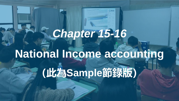## *Chapter 15-16*

# **National Income accounting**

**(此為Sample節錄版)**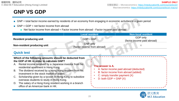## **GNP VS GDP**

- GNP = total factor income earned by residents of an economy from engaging in economic activities in a given period
- $\blacksquare$  GNP = GDP + net factor income from abroad
	- $\blacksquare$  Net factor income from abroad = Factor income from abroad Factor income paid abroad

|                                                                                                                                                                                                                                                                                                                                                                                                                                                                                                                                        | <b>Local resident</b>                          | <b>Non-local resident</b>                                                                                         |  |
|----------------------------------------------------------------------------------------------------------------------------------------------------------------------------------------------------------------------------------------------------------------------------------------------------------------------------------------------------------------------------------------------------------------------------------------------------------------------------------------------------------------------------------------|------------------------------------------------|-------------------------------------------------------------------------------------------------------------------|--|
| <b>Resident producing unit</b>                                                                                                                                                                                                                                                                                                                                                                                                                                                                                                         | GDP+ GNP                                       | GDP only<br>(factor income paid abroad)                                                                           |  |
| Non-resident producing unit                                                                                                                                                                                                                                                                                                                                                                                                                                                                                                            | <b>GNP only</b><br>(factor income from abroad) | $\times$                                                                                                          |  |
| <b>Quick test</b>                                                                                                                                                                                                                                                                                                                                                                                                                                                                                                                      |                                                |                                                                                                                   |  |
| Which of the following amounts should be deducted from<br>the GDP of HK in order to calculate GNP?<br>Rental income received by a Japanese investor from his<br>Α.<br>residential apartment in Hong Kong<br>The dividend received by a Hong Kong resident from his<br>B.<br>investment in the stock market of states<br>Scholarship given by a tycoon in Hong Kong to subsidize<br>C.<br>overseas students to study in Hong Kong.<br>The salary of a Hong Kong resident working in a branch<br>D.<br>office of an American bank in HK. | The answer is A.<br>D: both GDP + GNP $(X)$    | A: factor income paid abroad (deducted)<br>B: factor income from abroad (added)<br>C: simply transfer payment (X) |  |

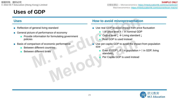## **Uses of GDP**

- Reflection of general living standard
- General picture of performance of economy
	- Provide information for formulating government policies
- Basis of comparison of economic performance
	- **Between different countries**
	- **Between different times**

#### **Uses How to avoid misrepresentation**

- Use real GDP to avoid impact from price fluctuation
	- ↑ In price level > ↑ in nominal GDP
	- Output level ↓ → Living standard ↓
	- Real GDP is used instead
- Use per-capita GDP to avoid the impact from population size
	- Even if GDP↑, if  $\uparrow$  in population >  $\uparrow$  in GDP, living standard↓
	- Per Capita GDP is used instead

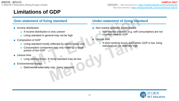- Income distribution
	- If income distribution is very uneven
	- Living standard in general may not be high
- Composition of GDP
	- Living standard mostly reflected by consumption only
	- Consumption component may only make up a small portion of the GDP
- Leisure time
	- Long working hours  $\rightarrow$  living standard may be low
- Environmental impact
	- Detrimental externality may ↓living standard

#### **Over-statement of living standard Under-statement of living standard**

- Non-market activities (understated)
	- Non-market activities (e.g. self consumption) are not counted towards GDP
	- Leisure time
		- If short working hours, even when GDP is low, living standard can be relatively high

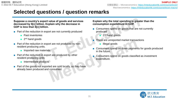**Suppose a country's export value of goods and services decreased by \$[x] billion. Explain why the decrease in GDP is less than \$[x] billion.**

- Part of the reduction in export are not currently produced
	- **Past inventories**
	- 2<sup>nd</sup> hand goods
- Part of the reduction in export are not produced by nonresident producing units.
	- **■** Imported raw materials.
- Part of the reduction in export are produced by other resident producing units
	- Intermediate products
- Part of the goods not exported are sold locally, so they have already been produced and consumed.

#### **Explain why the total spending is greater than the consumption expenditure in GDP.**

- Consumers spend on goods that are not currently produced.
	- 2<sup>nd</sup> hand goods
- There are unreported market transactions
	- Illegal goods
- Consumers spend on down payments for goods produced in the future.
- Consumers spend on goods classified as investment expenditure.

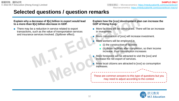#### **Explain why a decrease of \$[x] billion in export would lead to a more-than \$[x] billion decrease in GDP.**

■ There may be a reduction in service related to export transactions, such as the value of transportation services and insurance services involved. (Spillover effect).

#### **Explain how the [xxx] development plan can increase the GDP of Hong Kong.**

- More facilities will be constructed. There will be an increase in investment.
- More construction of [xxx] will increase investment.
- More workers will be employed in
	- (i) the construction of facilities
	- (ii) those facilities after completion, so their income increase, thus consumption increases
- More foreigners will be attracted to visit the [xxx] and increase the net export of services.
- More local citizens are attracted to [xxx] so consumption increases.

These are common answers to this type of questions but you may need to adjust according to the context

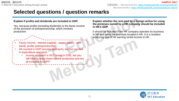#### **Explain if profits and dividends are included in GDP.**

Yes, because profits (including dividends) is the factor income of the provision of entrepreneurship, which involves production.

- Factor income : interest (capital) , wages (labor) , rent (land), profits (entrepreneurship)
- All counted in GDP (income approach), but not counted in expenditure approach
	- Income approach is NOT tested in DSE, but you still have to know these involve production and are all included in GDP!

**Explain whether the rent paid by a foreign airline for using the premises owned by a HK company should be included in HK's GDP.**

It should be included if the HK company operates its business in HK and owns the premises located in HK. It is a resident producing unit of HK earning rental income in HK.

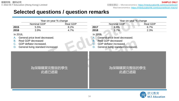完整版筆記 – Microeconomics: <https://mteducationhk.com/course/econ/> Macroeconomics:<https://mteducationhk.com/course/econ-macro/>

**SAMPLE ONLY**

## **Selected questions / question remarks**

| Year-on-year % change |                                                                                                                              |                 |                            | Year-on-year % change                                                                                                        |                 |  |
|-----------------------|------------------------------------------------------------------------------------------------------------------------------|-----------------|----------------------------|------------------------------------------------------------------------------------------------------------------------------|-----------------|--|
|                       | <b>Nominal GDP</b>                                                                                                           | <b>Real GDP</b> |                            | <b>Nominal GDP</b>                                                                                                           | <b>Real GDP</b> |  |
| 2015                  | 5.5%                                                                                                                         | 8.2%            | 2017                       | 9.6%                                                                                                                         | 6.7%            |  |
| 2016                  | 3.9%                                                                                                                         | 4.7%            | 2018                       | 3.7%                                                                                                                         | 2.3%            |  |
| In 2016,<br>В.        | General price level decreased.<br><b>Real GDP decreased</b><br>GDP deflator increased.<br>General living standard increased. |                 | In 2016,<br>A.<br>В.<br>D. | General price level decreased.<br><b>Real GDP decreased</b><br>GDP deflator increased.<br>General living standard increased. |                 |  |
|                       | 為保障購買完整版的學生<br>此處已遮蔽                                                                                                         |                 |                            | 為保障購買完整版的學生<br>此處已遮蔽                                                                                                         |                 |  |